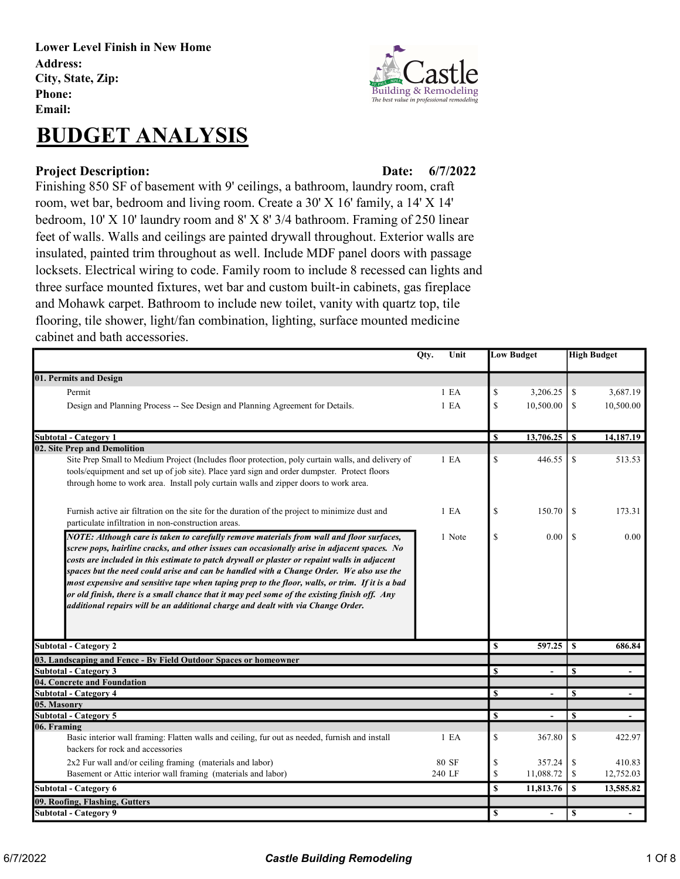Lower Level Finish in New Home Address: City, State, Zip: Phone: Email:

# BUDGET ANALYSIS

### Project Description: Date:

**Building & Remod** The best value in profes

## 6/7/2022

Finishing 850 SF of basement with 9' ceilings, a bathroom, laundry room, craft room, wet bar, bedroom and living room. Create a 30' X 16' family, a 14' X 14' bedroom, 10' X 10' laundry room and 8' X 8' 3/4 bathroom. Framing of 250 linear feet of walls. Walls and ceilings are painted drywall throughout. Exterior walls are insulated, painted trim throughout as well. Include MDF panel doors with passage locksets. Electrical wiring to code. Family room to include 8 recessed can lights and three surface mounted fixtures, wet bar and custom built-in cabinets, gas fireplace and Mohawk carpet. Bathroom to include new toilet, vanity with quartz top, tile flooring, tile shower, light/fan combination, lighting, surface mounted medicine cabinet and bath accessories.

|                                                                                                                                                                                                                                                                                                                                                                                                                                                                                                                                                                                                                                                                           | Qty.<br>Unit     |              | <b>Low Budget</b>        |               | <b>High Budget</b>       |
|---------------------------------------------------------------------------------------------------------------------------------------------------------------------------------------------------------------------------------------------------------------------------------------------------------------------------------------------------------------------------------------------------------------------------------------------------------------------------------------------------------------------------------------------------------------------------------------------------------------------------------------------------------------------------|------------------|--------------|--------------------------|---------------|--------------------------|
| 01. Permits and Design                                                                                                                                                                                                                                                                                                                                                                                                                                                                                                                                                                                                                                                    |                  |              |                          |               |                          |
| Permit                                                                                                                                                                                                                                                                                                                                                                                                                                                                                                                                                                                                                                                                    | 1 E <sub>A</sub> | \$           | 3,206.25                 | \$            | 3,687.19                 |
| Design and Planning Process -- See Design and Planning Agreement for Details.                                                                                                                                                                                                                                                                                                                                                                                                                                                                                                                                                                                             | 1 E <sub>A</sub> | \$           | 10,500.00                | <sup>\$</sup> | 10,500.00                |
|                                                                                                                                                                                                                                                                                                                                                                                                                                                                                                                                                                                                                                                                           |                  |              |                          |               |                          |
| Subtotal - Category 1                                                                                                                                                                                                                                                                                                                                                                                                                                                                                                                                                                                                                                                     |                  | $\mathbf S$  |                          |               | 14,187.19                |
| 02. Site Prep and Demolition<br>Site Prep Small to Medium Project (Includes floor protection, poly curtain walls, and delivery of<br>tools/equipment and set up of job site). Place yard sign and order dumpster. Protect floors<br>through home to work area. Install poly curtain walls and zipper doors to work area.                                                                                                                                                                                                                                                                                                                                                  | 1 E A            | \$           | 446.55                   | <sup>\$</sup> | 513.53                   |
| Furnish active air filtration on the site for the duration of the project to minimize dust and<br>particulate infiltration in non-construction areas.                                                                                                                                                                                                                                                                                                                                                                                                                                                                                                                     | 1 E <sub>A</sub> | \$           | 150.70                   | <sup>\$</sup> | 173.31                   |
| NOTE: Although care is taken to carefully remove materials from wall and floor surfaces,<br>screw pops, hairline cracks, and other issues can occasionally arise in adjacent spaces. No<br>costs are included in this estimate to patch drywall or plaster or repaint walls in adjacent<br>spaces but the need could arise and can be handled with a Change Order. We also use the<br>most expensive and sensitive tape when taping prep to the floor, walls, or trim. If it is a bad<br>or old finish, there is a small chance that it may peel some of the existing finish off. Any<br>additional repairs will be an additional charge and dealt with via Change Order. | 1 Note           | \$           | 0.00                     | <sup>\$</sup> | 0.00                     |
| <b>Subtotal - Category 2</b>                                                                                                                                                                                                                                                                                                                                                                                                                                                                                                                                                                                                                                              |                  | \$           | 597.25                   | S             | 686.84                   |
| 03. Landscaping and Fence - By Field Outdoor Spaces or homeowner                                                                                                                                                                                                                                                                                                                                                                                                                                                                                                                                                                                                          |                  |              |                          |               |                          |
| Subtotal - Category 3                                                                                                                                                                                                                                                                                                                                                                                                                                                                                                                                                                                                                                                     |                  | \$           |                          | $\mathbf{s}$  |                          |
| 04. Concrete and Foundation                                                                                                                                                                                                                                                                                                                                                                                                                                                                                                                                                                                                                                               |                  | $\mathbf S$  |                          | $\mathbf{s}$  |                          |
| Subtotal - Category 4<br>05. Masonry                                                                                                                                                                                                                                                                                                                                                                                                                                                                                                                                                                                                                                      |                  |              |                          |               |                          |
| <b>Subtotal - Category 5</b>                                                                                                                                                                                                                                                                                                                                                                                                                                                                                                                                                                                                                                              |                  | \$           | $\overline{\phantom{0}}$ | \$            | $\overline{\phantom{a}}$ |
| 06. Framing                                                                                                                                                                                                                                                                                                                                                                                                                                                                                                                                                                                                                                                               |                  |              |                          |               |                          |
| Basic interior wall framing: Flatten walls and ceiling, fur out as needed, furnish and install<br>backers for rock and accessories                                                                                                                                                                                                                                                                                                                                                                                                                                                                                                                                        | 1 E <sub>A</sub> | \$           | 367.80                   | <sup>\$</sup> | 422.97                   |
| 2x2 Fur wall and/or ceiling framing (materials and labor)                                                                                                                                                                                                                                                                                                                                                                                                                                                                                                                                                                                                                 | 80 SF            | \$           | 357.24                   | <sup>\$</sup> | 410.83                   |
| Basement or Attic interior wall framing (materials and labor)                                                                                                                                                                                                                                                                                                                                                                                                                                                                                                                                                                                                             | 240 LF           | $\mathbb{S}$ | 11,088.72                | <sup>\$</sup> | 12,752.03                |
| Subtotal - Category 6                                                                                                                                                                                                                                                                                                                                                                                                                                                                                                                                                                                                                                                     |                  | \$           | 11,813.76                | <sup>\$</sup> | 13,585.82                |
| 09. Roofing, Flashing, Gutters                                                                                                                                                                                                                                                                                                                                                                                                                                                                                                                                                                                                                                            |                  |              |                          |               |                          |
| <b>Subtotal - Category 9</b>                                                                                                                                                                                                                                                                                                                                                                                                                                                                                                                                                                                                                                              |                  | \$           | $\blacksquare$           | \$            |                          |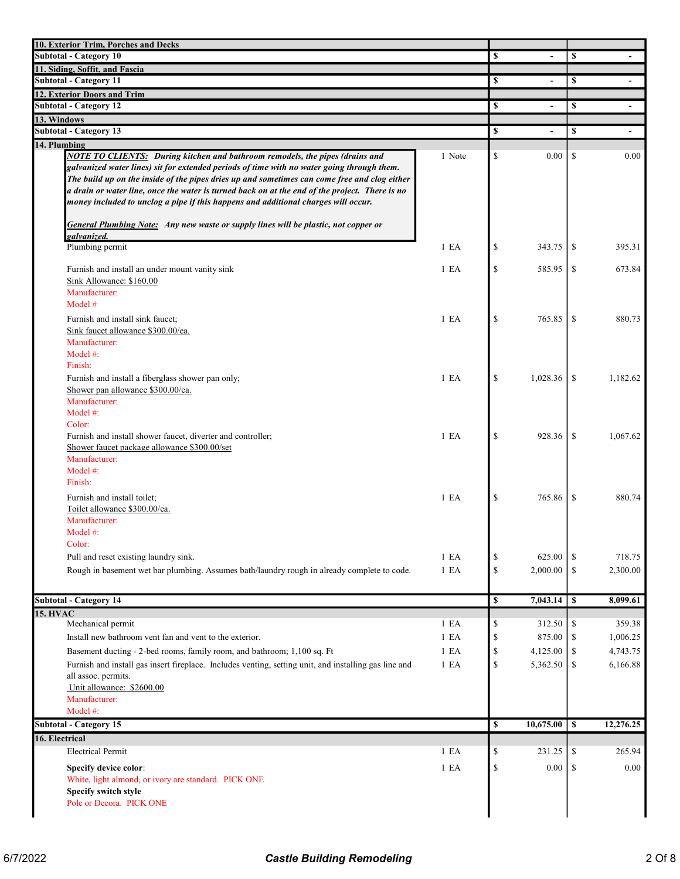| 10. Exterior Trim, Porches and Decks                                                                                                                                                       |                  |                      |               |                          |
|--------------------------------------------------------------------------------------------------------------------------------------------------------------------------------------------|------------------|----------------------|---------------|--------------------------|
| <b>Subtotal - Category 10</b>                                                                                                                                                              |                  | \$                   | \$            |                          |
| 11. Siding, Soffit, and Fascia                                                                                                                                                             |                  |                      |               |                          |
| <b>Subtotal - Category 11</b>                                                                                                                                                              |                  | \$<br>$\overline{a}$ | \$            | $\blacksquare$           |
| 12. Exterior Doors and Trim                                                                                                                                                                |                  |                      |               |                          |
| <b>Subtotal - Category 12</b>                                                                                                                                                              |                  | \$                   | <sup>\$</sup> | $\overline{\phantom{a}}$ |
| 13. Windows                                                                                                                                                                                |                  |                      |               |                          |
| <b>Subtotal - Category 13</b>                                                                                                                                                              |                  | \$<br>$\blacksquare$ | <sup>\$</sup> | $\overline{\phantom{a}}$ |
| 14. Plumbing                                                                                                                                                                               |                  |                      |               |                          |
| <b>NOTE TO CLIENTS:</b> During kitchen and bathroom remodels, the pipes (drains and                                                                                                        | 1 Note           | \$<br>0.00           | \$            | 0.00                     |
| galvanized water lines) sit for extended periods of time with no water going through them.<br>The build up on the inside of the pipes dries up and sometimes can come free and clog either |                  |                      |               |                          |
| a drain or water line, once the water is turned back on at the end of the project. There is no                                                                                             |                  |                      |               |                          |
| money included to unclog a pipe if this happens and additional charges will occur.                                                                                                         |                  |                      |               |                          |
|                                                                                                                                                                                            |                  |                      |               |                          |
| <b>General Plumbing Note:</b> Any new waste or supply lines will be plastic, not copper or                                                                                                 |                  |                      |               |                          |
| galvanized.                                                                                                                                                                                |                  |                      |               |                          |
| Plumbing permit                                                                                                                                                                            | 1 E A            | \$<br>343.75         | <sup>\$</sup> | 395.31                   |
|                                                                                                                                                                                            | 1 E <sub>A</sub> | \$<br>585.95         | \$            | 673.84                   |
| Furnish and install an under mount vanity sink<br>Sink Allowance: \$160.00                                                                                                                 |                  |                      |               |                          |
| Manufacturer:                                                                                                                                                                              |                  |                      |               |                          |
| Model #                                                                                                                                                                                    |                  |                      |               |                          |
| Furnish and install sink faucet;                                                                                                                                                           | 1 E <sub>A</sub> | \$<br>765.85         | \$            | 880.73                   |
| Sink faucet allowance \$300.00/ea.                                                                                                                                                         |                  |                      |               |                          |
| Manufacturer:                                                                                                                                                                              |                  |                      |               |                          |
| Model $#$ :                                                                                                                                                                                |                  |                      |               |                          |
| Finish:                                                                                                                                                                                    |                  |                      |               |                          |
| Furnish and install a fiberglass shower pan only;                                                                                                                                          | 1 E A            | \$<br>1,028.36       | <sup>\$</sup> | 1,182.62                 |
| Shower pan allowance \$300.00/ea.                                                                                                                                                          |                  |                      |               |                          |
| Manufacturer:                                                                                                                                                                              |                  |                      |               |                          |
| Model $#$ :<br>Color:                                                                                                                                                                      |                  |                      |               |                          |
| Furnish and install shower faucet, diverter and controller;                                                                                                                                | 1 E <sub>A</sub> | \$<br>928.36         | \$            | 1,067.62                 |
| Shower faucet package allowance \$300.00/set                                                                                                                                               |                  |                      |               |                          |
| Manufacturer:                                                                                                                                                                              |                  |                      |               |                          |
| Model $#$ :                                                                                                                                                                                |                  |                      |               |                          |
| Finish:                                                                                                                                                                                    |                  |                      |               |                          |
| Furnish and install toilet:                                                                                                                                                                | 1 E <sub>A</sub> | \$<br>765.86         | \$            | 880.74                   |
| Toilet allowance \$300.00/ea.                                                                                                                                                              |                  |                      |               |                          |
| Manufacturer:                                                                                                                                                                              |                  |                      |               |                          |
| Model #:                                                                                                                                                                                   |                  |                      |               |                          |
| Color:                                                                                                                                                                                     |                  |                      |               |                          |
| Pull and reset existing laundry sink.                                                                                                                                                      | 1 E A            | \$<br>625.00         | -S            | 718.75                   |
| Rough in basement wet bar plumbing. Assumes bath/laundry rough in already complete to code.                                                                                                | 1 E A            | \$<br>2,000.00       | $\mathbb{S}$  | 2,300.00                 |
|                                                                                                                                                                                            |                  |                      |               |                          |
| <b>Subtotal - Category 14</b>                                                                                                                                                              |                  | \$<br>7,043.14       | $\vert s$     | 8,099.61                 |
| <b>15. HVAC</b>                                                                                                                                                                            |                  |                      |               |                          |
| Mechanical permit                                                                                                                                                                          | 1 E A            | \$<br>312.50         | -\$           | 359.38                   |
| Install new bathroom vent fan and vent to the exterior.                                                                                                                                    | 1 E A            | \$<br>875.00         | -S            | 1,006.25                 |
| Basement ducting - 2-bed rooms, family room, and bathroom; 1,100 sq. Ft                                                                                                                    | 1 E A            | \$<br>4,125.00       | -\$           | 4,743.75                 |
| Furnish and install gas insert fireplace. Includes venting, setting unit, and installing gas line and                                                                                      | 1 E A            | \$<br>5,362.50       | <sup>\$</sup> | 6,166.88                 |
| all assoc. permits.                                                                                                                                                                        |                  |                      |               |                          |
| Unit allowance: \$2600.00<br>Manufacturer:                                                                                                                                                 |                  |                      |               |                          |
| Model #:                                                                                                                                                                                   |                  |                      |               |                          |
| <b>Subtotal - Category 15</b>                                                                                                                                                              |                  | \$<br>10,675.00      | $\mathbf{s}$  | 12,276.25                |
| 16. Electrical                                                                                                                                                                             |                  |                      |               |                          |
| <b>Electrical Permit</b>                                                                                                                                                                   | 1 E A            | \$<br>231.25         | \$            | 265.94                   |
|                                                                                                                                                                                            | 1 E A            | \$<br>0.00           | \$            | $0.00\,$                 |
| Specify device color:<br>White, light almond, or ivory are standard. PICK ONE                                                                                                              |                  |                      |               |                          |
| Specify switch style                                                                                                                                                                       |                  |                      |               |                          |
| Pole or Decora. PICK ONE                                                                                                                                                                   |                  |                      |               |                          |
|                                                                                                                                                                                            |                  |                      |               |                          |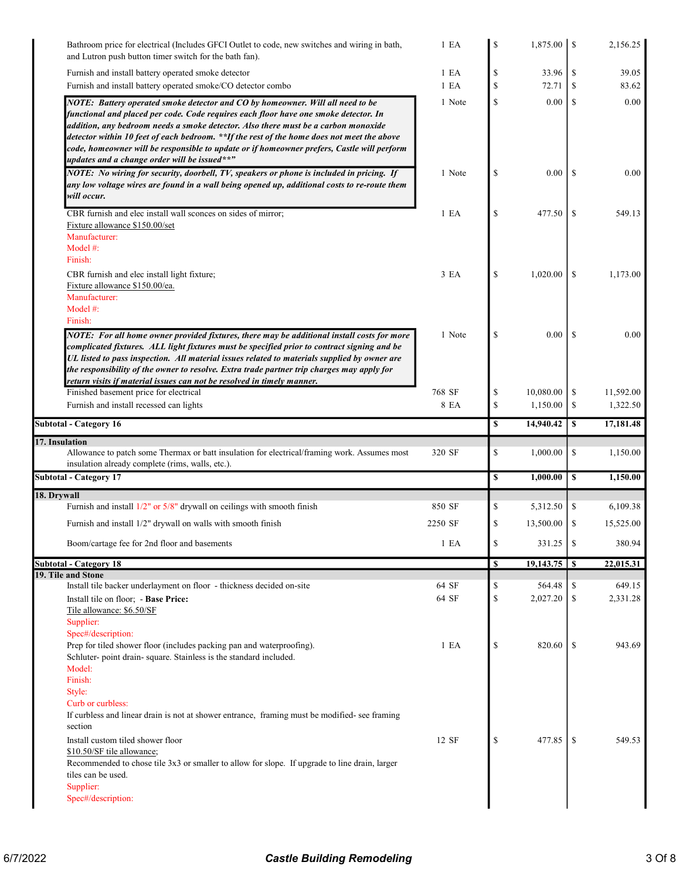| Bathroom price for electrical (Includes GFCI Outlet to code, new switches and wiring in bath,<br>and Lutron push button timer switch for the bath fan).                                                                                                                                                                                                                                                                                                                                                  | 1 E A            | \$       |                    |               | 2,156.25  |
|----------------------------------------------------------------------------------------------------------------------------------------------------------------------------------------------------------------------------------------------------------------------------------------------------------------------------------------------------------------------------------------------------------------------------------------------------------------------------------------------------------|------------------|----------|--------------------|---------------|-----------|
| Furnish and install battery operated smoke detector                                                                                                                                                                                                                                                                                                                                                                                                                                                      | 1 E <sub>A</sub> | \$       | 33.96              | \$            | 39.05     |
| Furnish and install battery operated smoke/CO detector combo                                                                                                                                                                                                                                                                                                                                                                                                                                             | 1 E <sub>A</sub> | \$       | 72.71              | S             | 83.62     |
| NOTE: Battery operated smoke detector and CO by homeowner. Will all need to be<br>functional and placed per code. Code requires each floor have one smoke detector. In<br>addition, any bedroom needs a smoke detector. Also there must be a carbon monoxide<br>detector within 10 feet of each bedroom. **If the rest of the home does not meet the above<br>code, homeowner will be responsible to update or if homeowner prefers, Castle will perform<br>updates and a change order will be issued**" | 1 Note           | \$       | 0.00               | \$            | 0.00      |
| NOTE: No wiring for security, doorbell, TV, speakers or phone is included in pricing. If<br>any low voltage wires are found in a wall being opened up, additional costs to re-route them<br>will occur.                                                                                                                                                                                                                                                                                                  | 1 Note           | \$       | 0.00               | -S            | 0.00      |
|                                                                                                                                                                                                                                                                                                                                                                                                                                                                                                          |                  |          |                    |               |           |
| CBR furnish and elec install wall sconces on sides of mirror;<br>Fixture allowance \$150.00/set<br>Manufacturer:<br>Model $#$ :<br>Finish:                                                                                                                                                                                                                                                                                                                                                               | 1 E A            | \$       | 477.50             | <sup>\$</sup> | 549.13    |
| CBR furnish and elec install light fixture;<br>Fixture allowance \$150.00/ea.<br>Manufacturer:<br>Model #:<br>Finish:                                                                                                                                                                                                                                                                                                                                                                                    | 3 <sub>E</sub> A | \$       | 1,020.00           | \$            | 1,173.00  |
| NOTE: For all home owner provided fixtures, there may be additional install costs for more<br>complicated fixtures. ALL light fixtures must be specified prior to contract signing and be<br>UL listed to pass inspection. All material issues related to materials supplied by owner are<br>the responsibility of the owner to resolve. Extra trade partner trip charges may apply for<br>return visits if material issues can not be resolved in timely manner.                                        | 1 Note           | \$       | 0.00               | <sup>\$</sup> | 0.00      |
| Finished basement price for electrical                                                                                                                                                                                                                                                                                                                                                                                                                                                                   | 768 SF           | \$       | 10,080.00          | \$            | 11,592.00 |
| Furnish and install recessed can lights                                                                                                                                                                                                                                                                                                                                                                                                                                                                  | 8 EA             | \$       | 1,150.00           | \$            | 1,322.50  |
| <b>Subtotal - Category 16</b>                                                                                                                                                                                                                                                                                                                                                                                                                                                                            |                  | \$       | 14,940.42          | <sup>\$</sup> | 17,181.48 |
| 17. Insulation                                                                                                                                                                                                                                                                                                                                                                                                                                                                                           |                  |          |                    |               |           |
| Allowance to patch some Thermax or batt insulation for electrical/framing work. Assumes most<br>insulation already complete (rims, walls, etc.).                                                                                                                                                                                                                                                                                                                                                         | 320 SF           | \$       | 1,000.00           | \$            | 1,150.00  |
| <b>Subtotal - Category 17</b>                                                                                                                                                                                                                                                                                                                                                                                                                                                                            |                  | \$       | 1,000.00           | <sup>\$</sup> | 1,150.00  |
| 18. Drywall                                                                                                                                                                                                                                                                                                                                                                                                                                                                                              |                  |          |                    |               |           |
| Furnish and install $1/2$ " or $5/8$ " drywall on ceilings with smooth finish                                                                                                                                                                                                                                                                                                                                                                                                                            | 850 SF           | \$       | 5,312.50           | \$            | 6,109.38  |
| Furnish and install 1/2" drywall on walls with smooth finish                                                                                                                                                                                                                                                                                                                                                                                                                                             | 2250 SF          | \$       | 13,500.00          | \$            | 15,525.00 |
| Boom/cartage fee for 2nd floor and basements                                                                                                                                                                                                                                                                                                                                                                                                                                                             | 1 E A            | \$       | 331.25             | \$            | 380.94    |
| <b>Subtotal - Category 18</b>                                                                                                                                                                                                                                                                                                                                                                                                                                                                            |                  | \$       |                    |               | 22,015.31 |
| 19. Tile and Stone                                                                                                                                                                                                                                                                                                                                                                                                                                                                                       |                  |          |                    |               |           |
| Install tile backer underlayment on floor - thickness decided on-site<br>Install tile on floor; - Base Price:                                                                                                                                                                                                                                                                                                                                                                                            | 64 SF<br>64 SF   | \$<br>\$ | 564.48<br>2,027.20 | \$            | 649.15    |
| Tile allowance: \$6.50/SF                                                                                                                                                                                                                                                                                                                                                                                                                                                                                |                  |          |                    | \$            | 2,331.28  |
| Supplier:<br>Spec#/description:                                                                                                                                                                                                                                                                                                                                                                                                                                                                          |                  |          |                    |               |           |
| Prep for tiled shower floor (includes packing pan and waterproofing).<br>Schluter- point drain- square. Stainless is the standard included.<br>Model:<br>Finish:<br>Style:<br>Curb or curbless:<br>If curbless and linear drain is not at shower entrance, framing must be modified- see framing<br>section                                                                                                                                                                                              | 1 E A            | \$       | 820.60             | -S            | 943.69    |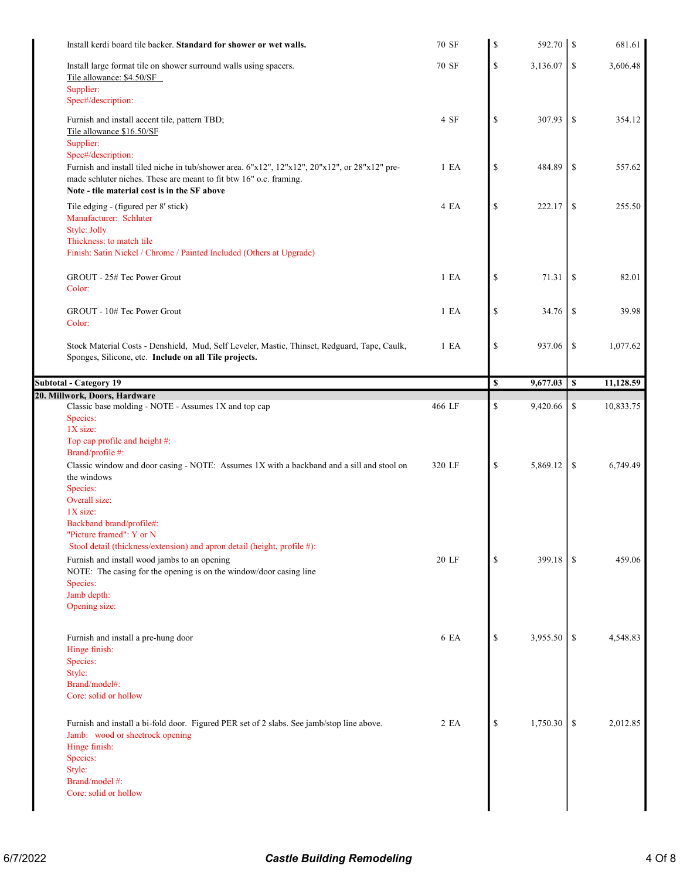|                                                                                                                              | 70 SF  | \$<br>592.70 \$ | 681.61          |
|------------------------------------------------------------------------------------------------------------------------------|--------|-----------------|-----------------|
| Install large format tile on shower surround walls using spacers.                                                            | 70 SF  | \$<br>3,136.07  | \$<br>3,606.48  |
| Tile allowance: \$4.50/SF                                                                                                    |        |                 |                 |
| Supplier:<br>Spec#/description:                                                                                              |        |                 |                 |
|                                                                                                                              | 4 SF   | \$<br>307.93    | \$<br>354.12    |
| Furnish and install accent tile, pattern TBD;<br>Tile allowance \$16.50/SF                                                   |        |                 |                 |
| Supplier:                                                                                                                    |        |                 |                 |
| Spec#/description:                                                                                                           |        |                 |                 |
| Furnish and install tiled niche in tub/shower area. 6"x12", 12"x12", 20"x12", or 28"x12" pre-                                | 1 E A  | \$<br>484.89    | \$<br>557.62    |
| made schluter niches. These are meant to fit btw 16" o.c. framing.<br>Note - tile material cost is in the SF above           |        |                 |                 |
| Tile edging - (figured per 8' stick)                                                                                         | 4 EA   | \$<br>222.17    | \$<br>255.50    |
| Manufacturer: Schluter                                                                                                       |        |                 |                 |
| Style: Jolly                                                                                                                 |        |                 |                 |
| Thickness: to match tile                                                                                                     |        |                 |                 |
| Finish: Satin Nickel / Chrome / Painted Included (Others at Upgrade)                                                         |        |                 |                 |
| GROUT - 25# Tec Power Grout                                                                                                  | 1 E A  | \$<br>71.31     | \$<br>82.01     |
| Color:                                                                                                                       |        |                 |                 |
|                                                                                                                              |        |                 |                 |
| GROUT - 10# Tec Power Grout                                                                                                  | 1 E A  | \$<br>34.76     | \$<br>39.98     |
| Color:                                                                                                                       |        |                 |                 |
| Stock Material Costs - Denshield, Mud, Self Leveler, Mastic, Thinset, Redguard, Tape, Caulk,                                 | 1 E A  | \$<br>937.06    | \$<br>1,077.62  |
| Sponges, Silicone, etc. Include on all Tile projects.                                                                        |        |                 |                 |
|                                                                                                                              |        |                 |                 |
| <b>Subtotal - Category 19</b><br>20. Millwork, Doors, Hardware                                                               |        | \$<br>9,677.03  | \$<br>11,128.59 |
| Classic base molding - NOTE - Assumes 1X and top cap                                                                         | 466 LF | \$<br>9,420.66  | \$<br>10,833.75 |
| Species:                                                                                                                     |        |                 |                 |
| 1X size:                                                                                                                     |        |                 |                 |
| Top cap profile and height #:<br>Brand/profile #:                                                                            |        |                 |                 |
| Classic window and door casing - NOTE: Assumes 1X with a backband and a sill and stool on                                    | 320 LF | \$<br>5,869.12  | \$<br>6,749.49  |
| the windows                                                                                                                  |        |                 |                 |
| Species:                                                                                                                     |        |                 |                 |
| Overall size:<br>1X size:                                                                                                    |        |                 |                 |
| Backband brand/profile#:                                                                                                     |        |                 |                 |
| "Picture framed": Y or N                                                                                                     |        |                 |                 |
|                                                                                                                              |        |                 |                 |
| Stool detail (thickness/extension) and apron detail (height, profile #):                                                     |        |                 |                 |
| Furnish and install wood jambs to an opening                                                                                 | 20 LF  | \$<br>399.18    | \$<br>459.06    |
| NOTE: The casing for the opening is on the window/door casing line                                                           |        |                 |                 |
| Species:                                                                                                                     |        |                 |                 |
| Jamb depth:<br>Opening size:                                                                                                 |        |                 |                 |
|                                                                                                                              |        |                 |                 |
|                                                                                                                              |        |                 |                 |
| Furnish and install a pre-hung door<br>Hinge finish:                                                                         | 6 EA   | \$<br>3,955.50  | \$<br>4,548.83  |
| Species:                                                                                                                     |        |                 |                 |
| Style:                                                                                                                       |        |                 |                 |
| Brand/model#:                                                                                                                |        |                 |                 |
| Core: solid or hollow                                                                                                        |        |                 |                 |
|                                                                                                                              | 2 EA   |                 | \$              |
| Furnish and install a bi-fold door. Figured PER set of 2 slabs. See jamb/stop line above.<br>Jamb: wood or sheetrock opening |        | \$<br>1,750.30  | 2,012.85        |
| Hinge finish:                                                                                                                |        |                 |                 |
| Species:                                                                                                                     |        |                 |                 |
| Style:                                                                                                                       |        |                 |                 |
| Brand/model #:<br>Core: solid or hollow                                                                                      |        |                 |                 |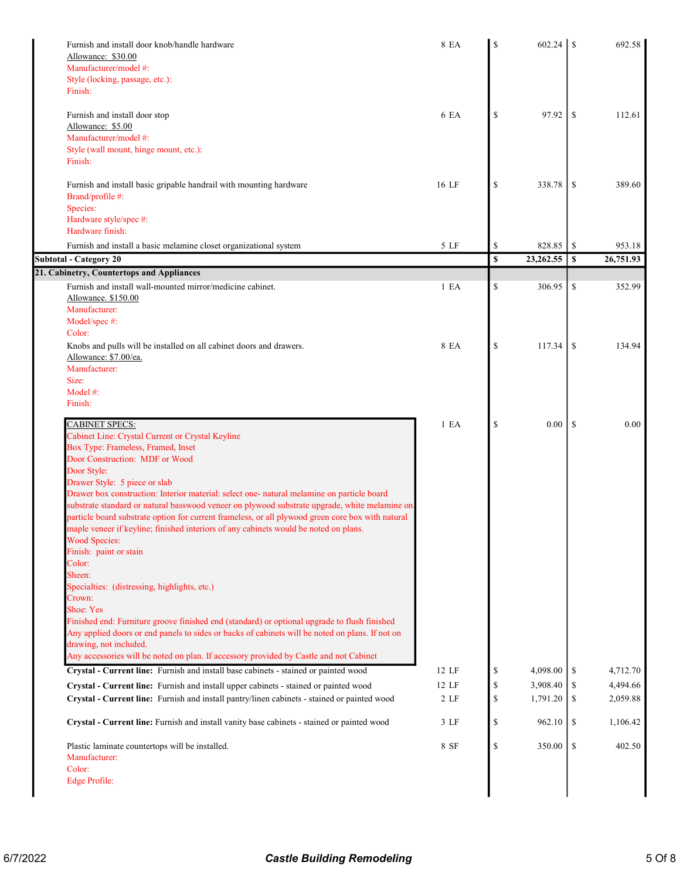| Furnish and install door knob/handle hardware<br>Allowance: \$30.00<br>Manufacturer/model #:<br>Style (locking, passage, etc.):                                                                    | 8 EA  | S            | 602.24    | <sup>\$</sup> | 692.58    |
|----------------------------------------------------------------------------------------------------------------------------------------------------------------------------------------------------|-------|--------------|-----------|---------------|-----------|
| Finish:                                                                                                                                                                                            |       |              |           |               |           |
| Furnish and install door stop<br>Allowance: \$5.00                                                                                                                                                 | 6 EA  | S            | 97.92     | <sup>\$</sup> | 112.61    |
| Manufacturer/model #:                                                                                                                                                                              |       |              |           |               |           |
| Style (wall mount, hinge mount, etc.):                                                                                                                                                             |       |              |           |               |           |
| Finish:                                                                                                                                                                                            |       |              |           |               |           |
| Furnish and install basic gripable handrail with mounting hardware                                                                                                                                 | 16 LF | \$           | 338.78    | <sup>\$</sup> | 389.60    |
| Brand/profile #:                                                                                                                                                                                   |       |              |           |               |           |
| Species:                                                                                                                                                                                           |       |              |           |               |           |
| Hardware style/spec #:<br>Hardware finish:                                                                                                                                                         |       |              |           |               |           |
| Furnish and install a basic melamine closet organizational system                                                                                                                                  | 5 LF  | \$           | 828.85    | \$            | 953.18    |
| <b>Subtotal - Category 20</b>                                                                                                                                                                      |       | $\mathbf{s}$ | 23,262.55 | S             | 26,751.93 |
| 21. Cabinetry, Countertops and Appliances                                                                                                                                                          |       |              |           |               |           |
| Furnish and install wall-mounted mirror/medicine cabinet.                                                                                                                                          | 1 E A | \$           | 306.95    | \$            | 352.99    |
| Allowance. \$150.00<br>Manufacturer:                                                                                                                                                               |       |              |           |               |           |
| Model/spec #:                                                                                                                                                                                      |       |              |           |               |           |
| Color:                                                                                                                                                                                             |       |              |           |               |           |
| Knobs and pulls will be installed on all cabinet doors and drawers.                                                                                                                                | 8 EA  | \$           | 117.34    | \$            | 134.94    |
| Allowance: \$7.00/ea.<br>Manufacturer:                                                                                                                                                             |       |              |           |               |           |
| Size:                                                                                                                                                                                              |       |              |           |               |           |
| Model #:                                                                                                                                                                                           |       |              |           |               |           |
| Finish:                                                                                                                                                                                            |       |              |           |               |           |
| <b>CABINET SPECS:</b>                                                                                                                                                                              | 1 E A | \$           | 0.00      | -S            | 0.00      |
| Cabinet Line: Crystal Current or Crystal Keyline                                                                                                                                                   |       |              |           |               |           |
| Box Type: Frameless, Framed, Inset                                                                                                                                                                 |       |              |           |               |           |
| Door Construction: MDF or Wood<br>Door Style:                                                                                                                                                      |       |              |           |               |           |
| Drawer Style: 5 piece or slab                                                                                                                                                                      |       |              |           |               |           |
| Drawer box construction: Interior material: select one- natural melamine on particle board                                                                                                         |       |              |           |               |           |
| substrate standard or natural basswood veneer on plywood substrate upgrade, white melamine on<br>particle board substrate option for current frameless, or all plywood green core box with natural |       |              |           |               |           |
| maple veneer if keyline; finished interiors of any cabinets would be noted on plans.                                                                                                               |       |              |           |               |           |
| <b>Wood Species:</b>                                                                                                                                                                               |       |              |           |               |           |
| Finish: paint or stain                                                                                                                                                                             |       |              |           |               |           |
| Color:<br>Sheen:                                                                                                                                                                                   |       |              |           |               |           |
| Specialties: (distressing, highlights, etc.)                                                                                                                                                       |       |              |           |               |           |
| Crown:                                                                                                                                                                                             |       |              |           |               |           |
| Shoe: Yes                                                                                                                                                                                          |       |              |           |               |           |
| Finished end: Furniture groove finished end (standard) or optional upgrade to flush finished<br>Any applied doors or end panels to sides or backs of cabinets will be noted on plans. If not on    |       |              |           |               |           |
| drawing, not included.                                                                                                                                                                             |       |              |           |               |           |
| Any accessories will be noted on plan. If accessory provided by Castle and not Cabinet                                                                                                             |       |              |           |               |           |
| Crystal - Current line: Furnish and install base cabinets - stained or painted wood                                                                                                                | 12 LF | \$           | 4,098.00  | \$            | 4,712.70  |
| Crystal - Current line: Furnish and install upper cabinets - stained or painted wood                                                                                                               | 12 LF | \$           | 3,908.40  | \$            | 4,494.66  |
| Crystal - Current line: Furnish and install pantry/linen cabinets - stained or painted wood                                                                                                        | 2 LF  | \$           | 1,791.20  | \$            | 2,059.88  |
| Crystal - Current line: Furnish and install vanity base cabinets - stained or painted wood                                                                                                         | 3 LF  | \$           | 962.10    | \$            | 1,106.42  |
| Plastic laminate countertops will be installed.                                                                                                                                                    | 8 SF  | \$           | 350.00    | \$            | 402.50    |
| Manufacturer:                                                                                                                                                                                      |       |              |           |               |           |
| Color:<br><b>Edge Profile:</b>                                                                                                                                                                     |       |              |           |               |           |
|                                                                                                                                                                                                    |       |              |           |               |           |
|                                                                                                                                                                                                    |       |              |           |               |           |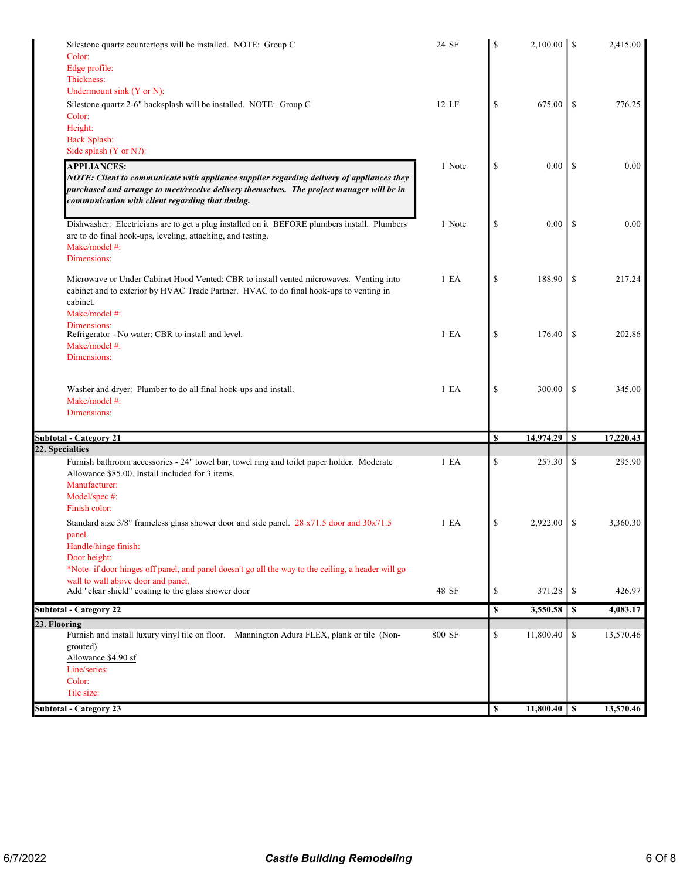| Silestone quartz countertops will be installed. NOTE: Group C<br>Color:                                                                                                                                                                    | 24 SF            | S                       |                |               | 2,415.00  |
|--------------------------------------------------------------------------------------------------------------------------------------------------------------------------------------------------------------------------------------------|------------------|-------------------------|----------------|---------------|-----------|
| Edge profile:                                                                                                                                                                                                                              |                  |                         |                |               |           |
| Thickness:                                                                                                                                                                                                                                 |                  |                         |                |               |           |
| Undermount sink (Y or N):                                                                                                                                                                                                                  |                  |                         |                |               |           |
| Silestone quartz 2-6" backsplash will be installed. NOTE: Group C                                                                                                                                                                          | 12 LF            | \$                      | 675.00         | <sup>\$</sup> | 776.25    |
| Color:<br>Height:                                                                                                                                                                                                                          |                  |                         |                |               |           |
| <b>Back Splash:</b>                                                                                                                                                                                                                        |                  |                         |                |               |           |
| Side splash (Y or N?):                                                                                                                                                                                                                     |                  |                         |                |               |           |
| <b>APPLIANCES:</b>                                                                                                                                                                                                                         | 1 Note           | \$                      | 0.00           | <sup>\$</sup> | 0.00      |
| NOTE: Client to communicate with appliance supplier regarding delivery of appliances they<br>purchased and arrange to meet/receive delivery themselves. The project manager will be in<br>communication with client regarding that timing. |                  |                         |                |               |           |
| Dishwasher: Electricians are to get a plug installed on it BEFORE plumbers install. Plumbers<br>are to do final hook-ups, leveling, attaching, and testing.<br>Make/model #:                                                               | 1 Note           | \$                      | 0.00           | -S            | 0.00      |
| Dimensions:                                                                                                                                                                                                                                |                  |                         |                |               |           |
| Microwave or Under Cabinet Hood Vented: CBR to install vented microwaves. Venting into<br>cabinet and to exterior by HVAC Trade Partner. HVAC to do final hook-ups to venting in<br>cabinet.                                               | 1 E A            | $\mathbb{S}$            | 188.90         | \$            | 217.24    |
| Make/model #:                                                                                                                                                                                                                              |                  |                         |                |               |           |
| Dimensions:<br>Refrigerator - No water: CBR to install and level.                                                                                                                                                                          | 1 E A            | \$                      | 176.40         | \$            | 202.86    |
| Make/model #:                                                                                                                                                                                                                              |                  |                         |                |               |           |
| Dimensions:                                                                                                                                                                                                                                |                  |                         |                |               |           |
|                                                                                                                                                                                                                                            |                  |                         |                |               |           |
| Washer and dryer: Plumber to do all final hook-ups and install.                                                                                                                                                                            | 1 E A            | \$                      | 300.00         | <sup>\$</sup> | 345.00    |
| Make/model #:                                                                                                                                                                                                                              |                  |                         |                |               |           |
| Dimensions:                                                                                                                                                                                                                                |                  |                         |                |               |           |
|                                                                                                                                                                                                                                            |                  |                         |                |               |           |
| <b>Subtotal - Category 21</b>                                                                                                                                                                                                              |                  | \$                      | 14,974.29      | <sup>\$</sup> | 17,220.43 |
| 22. Specialties                                                                                                                                                                                                                            |                  |                         |                |               |           |
| Furnish bathroom accessories - 24" towel bar, towel ring and toilet paper holder. Moderate<br>Allowance \$85.00. Install included for 3 items.<br>Manufacturer:                                                                            | 1 E A            | \$                      | 257.30         | \$            | 295.90    |
| Model/spec #:                                                                                                                                                                                                                              |                  |                         |                |               |           |
| Finish color:                                                                                                                                                                                                                              |                  |                         |                |               |           |
| Standard size 3/8" frameless glass shower door and side panel. 28 x71.5 door and 30x71.5                                                                                                                                                   | 1 E <sub>A</sub> | \$                      | 2,922.00       | -S            | 3,360.30  |
| panel.                                                                                                                                                                                                                                     |                  |                         |                |               |           |
| Handle/hinge finish:                                                                                                                                                                                                                       |                  |                         |                |               |           |
| Door height:                                                                                                                                                                                                                               |                  |                         |                |               |           |
| *Note- if door hinges off panel, and panel doesn't go all the way to the ceiling, a header will go<br>wall to wall above door and panel.                                                                                                   |                  |                         |                |               |           |
| Add "clear shield" coating to the glass shower door                                                                                                                                                                                        | 48 SF            | \$                      | 371.28         | \$            | 426.97    |
| <b>Subtotal - Category 22</b>                                                                                                                                                                                                              |                  | $\overline{\mathbb{S}}$ | 3,550.58       | \$            | 4,083.17  |
| 23. Flooring                                                                                                                                                                                                                               |                  |                         |                |               |           |
| Furnish and install luxury vinyl tile on floor. Mannington Adura FLEX, plank or tile (Non-                                                                                                                                                 | 800 SF           | \$                      | 11,800.40      | \$            | 13,570.46 |
| grouted)                                                                                                                                                                                                                                   |                  |                         |                |               |           |
| Allowance \$4.90 sf                                                                                                                                                                                                                        |                  |                         |                |               |           |
| Line/series:                                                                                                                                                                                                                               |                  |                         |                |               |           |
| Color:<br>Tile size:                                                                                                                                                                                                                       |                  |                         |                |               |           |
|                                                                                                                                                                                                                                            |                  |                         |                |               |           |
| <b>Subtotal - Category 23</b>                                                                                                                                                                                                              |                  | \$                      | $11,800.40$ \$ |               | 13,570.46 |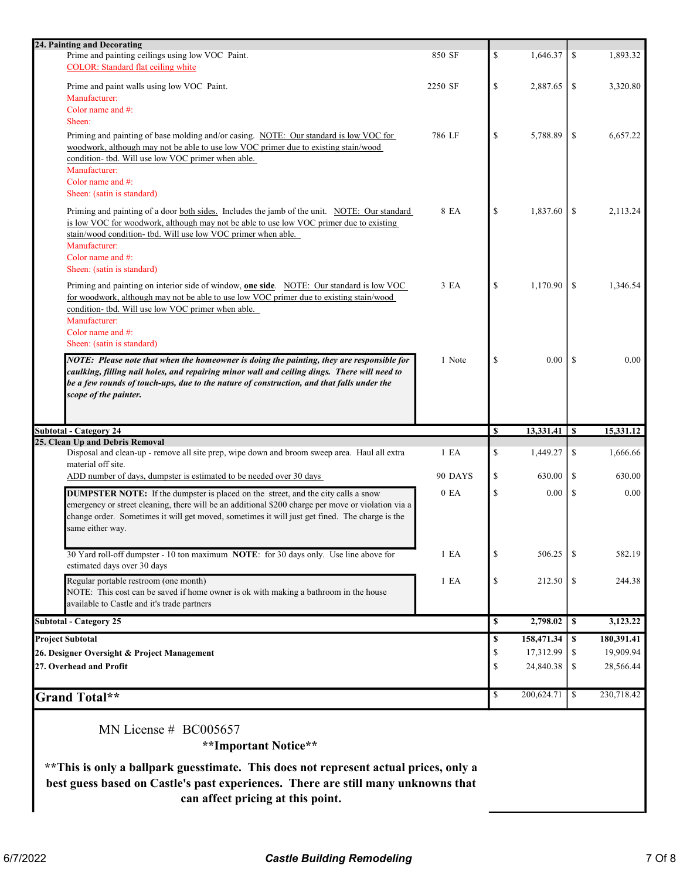| 24. Painting and Decorating                                                                                                                                                                                                                                                                                          |                  |              |            |               |            |
|----------------------------------------------------------------------------------------------------------------------------------------------------------------------------------------------------------------------------------------------------------------------------------------------------------------------|------------------|--------------|------------|---------------|------------|
| Prime and painting ceilings using low VOC Paint.<br><b>COLOR:</b> Standard flat ceiling white                                                                                                                                                                                                                        | 850 SF           | \$           | 1,646.37   | \$            | 1,893.32   |
| Prime and paint walls using low VOC Paint.<br>Manufacturer:                                                                                                                                                                                                                                                          | 2250 SF          | \$           | 2,887.65   | \$            | 3,320.80   |
| Color name and $#$ :<br>Sheen:                                                                                                                                                                                                                                                                                       |                  |              |            |               |            |
| Priming and painting of base molding and/or casing. NOTE: Our standard is low VOC for<br>woodwork, although may not be able to use low VOC primer due to existing stain/wood<br>condition- tbd. Will use low VOC primer when able.<br>Manufacturer:<br>Color name and $#$ :                                          | 786 LF           | \$           | 5,788.89   | \$            | 6,657.22   |
| Sheen: (satin is standard)                                                                                                                                                                                                                                                                                           |                  |              |            |               |            |
| Priming and painting of a door both sides. Includes the jamb of the unit. NOTE: Our standard<br>is low VOC for woodwork, although may not be able to use low VOC primer due to existing<br>stain/wood condition- tbd. Will use low VOC primer when able.<br>Manufacturer:                                            | 8 EA             | \$           | 1,837.60   | -S            | 2,113.24   |
| Color name and #:                                                                                                                                                                                                                                                                                                    |                  |              |            |               |            |
| Sheen: (satin is standard)                                                                                                                                                                                                                                                                                           |                  |              |            |               |            |
| Priming and painting on interior side of window, <b>one side</b> . NOTE: Our standard is low VOC<br>for woodwork, although may not be able to use low VOC primer due to existing stain/wood                                                                                                                          | 3 EA             | \$           | 1,170.90   | -S            | 1,346.54   |
| condition- tbd. Will use low VOC primer when able.<br>Manufacturer:<br>Color name and $#$ :<br>Sheen: (satin is standard)                                                                                                                                                                                            |                  |              |            |               |            |
| NOTE: Please note that when the homeowner is doing the painting, they are responsible for                                                                                                                                                                                                                            | 1 Note           | \$           | 0.00       | <sup>\$</sup> | 0.00       |
| caulking, filling nail holes, and repairing minor wall and ceiling dings. There will need to<br>be a few rounds of touch-ups, due to the nature of construction, and that falls under the<br>scope of the painter.                                                                                                   |                  |              |            |               |            |
| <b>Subtotal - Category 24</b>                                                                                                                                                                                                                                                                                        |                  | <b>S</b>     |            |               | 15,331.12  |
| 25. Clean Up and Debris Removal                                                                                                                                                                                                                                                                                      |                  |              |            |               |            |
| Disposal and clean-up - remove all site prep, wipe down and broom sweep area. Haul all extra<br>material off site.                                                                                                                                                                                                   | 1 E A            | \$           | 1,449.27   | \$            | 1,666.66   |
| ADD number of days, dumpster is estimated to be needed over 30 days                                                                                                                                                                                                                                                  | 90 DAYS          | \$           | 630.00     | \$            | 630.00     |
| <b>DUMPSTER NOTE:</b> If the dumpster is placed on the street, and the city calls a snow<br>emergency or street cleaning, there will be an additional \$200 charge per move or violation via a<br>change order. Sometimes it will get moved, sometimes it will just get fined. The charge is the<br>same either way. | 0 E <sub>A</sub> | $\mathbb{S}$ | 0.00       | \$            | 0.00       |
| 30 Yard roll-off dumpster - 10 ton maximum NOTE: for 30 days only. Use line above for<br>estimated days over 30 days                                                                                                                                                                                                 | 1 E A            | \$           | 506.25     | <sup>\$</sup> | 582.19     |
| Regular portable restroom (one month)<br>NOTE: This cost can be saved if home owner is ok with making a bathroom in the house<br>available to Castle and it's trade partners                                                                                                                                         | 1 E A            | \$           | 212.50     | \$            | 244.38     |
| <b>Subtotal - Category 25</b>                                                                                                                                                                                                                                                                                        |                  | \$           | 2,798.02   | $\mathbf{s}$  | 3,123.22   |
| <b>Project Subtotal</b>                                                                                                                                                                                                                                                                                              |                  | \$           | 158,471.34 | \$            | 180,391.41 |
| 26. Designer Oversight & Project Management                                                                                                                                                                                                                                                                          |                  | \$           | 17,312.99  | \$            | 19,909.94  |
| 27. Overhead and Profit                                                                                                                                                                                                                                                                                              |                  | \$           | 24,840.38  | \$            | 28,566.44  |
| <b>Grand Total**</b>                                                                                                                                                                                                                                                                                                 |                  | \$           | 200,624.71 | \$            | 230,718.42 |
| MN License $# \text{ BC}005657$<br>**Important Notice**<br>** This is only a ballpark guesstimate. This does not represent actual prices, only a                                                                                                                                                                     |                  |              |            |               |            |

best guess based on Castle's past experiences. There are still many unknowns that

can affect pricing at this point.